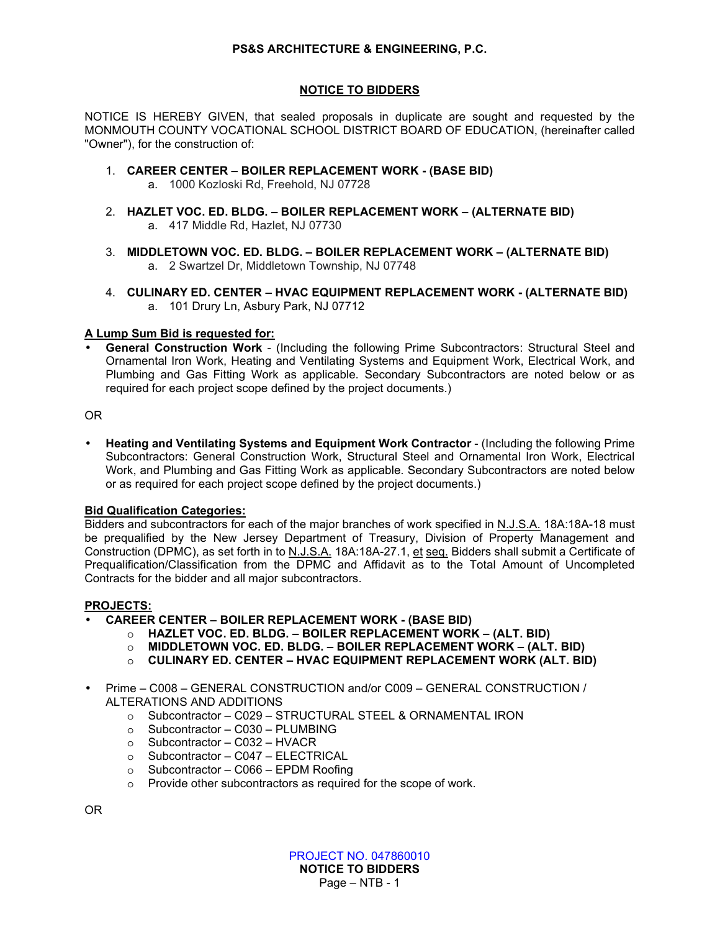## **PS&S ARCHITECTURE & ENGINEERING, P.C.**

## **NOTICE TO BIDDERS**

NOTICE IS HEREBY GIVEN, that sealed proposals in duplicate are sought and requested by the MONMOUTH COUNTY VOCATIONAL SCHOOL DISTRICT BOARD OF EDUCATION, (hereinafter called "Owner"), for the construction of:

- 1. **CAREER CENTER BOILER REPLACEMENT WORK (BASE BID)** 
	- a. 1000 Kozloski Rd, Freehold, NJ 07728
- 2. **HAZLET VOC. ED. BLDG. BOILER REPLACEMENT WORK (ALTERNATE BID)**  a. 417 Middle Rd, Hazlet, NJ 07730
- 3. **MIDDLETOWN VOC. ED. BLDG. BOILER REPLACEMENT WORK (ALTERNATE BID)**  a. 2 Swartzel Dr, Middletown Township, NJ 07748
- 4. **CULINARY ED. CENTER HVAC EQUIPMENT REPLACEMENT WORK (ALTERNATE BID)**  a. 101 Drury Ln, Asbury Park, NJ 07712

## **A Lump Sum Bid is requested for:**

• **General Construction Work** - (Including the following Prime Subcontractors: Structural Steel and Ornamental Iron Work, Heating and Ventilating Systems and Equipment Work, Electrical Work, and Plumbing and Gas Fitting Work as applicable. Secondary Subcontractors are noted below or as required for each project scope defined by the project documents.)

# OR

• **Heating and Ventilating Systems and Equipment Work Contractor** - (Including the following Prime Subcontractors: General Construction Work, Structural Steel and Ornamental Iron Work, Electrical Work, and Plumbing and Gas Fitting Work as applicable. Secondary Subcontractors are noted below or as required for each project scope defined by the project documents.)

#### **Bid Qualification Categories:**

Bidders and subcontractors for each of the major branches of work specified in N.J.S.A. 18A:18A-18 must be prequalified by the New Jersey Department of Treasury, Division of Property Management and Construction (DPMC), as set forth in to N.J.S.A. 18A:18A-27.1, et seq. Bidders shall submit a Certificate of Prequalification/Classification from the DPMC and Affidavit as to the Total Amount of Uncompleted Contracts for the bidder and all major subcontractors.

#### **PROJECTS:**

#### • **CAREER CENTER – BOILER REPLACEMENT WORK - (BASE BID)**

- o **HAZLET VOC. ED. BLDG. BOILER REPLACEMENT WORK (ALT. BID)**
- o **MIDDLETOWN VOC. ED. BLDG. BOILER REPLACEMENT WORK (ALT. BID)**
- o **CULINARY ED. CENTER HVAC EQUIPMENT REPLACEMENT WORK (ALT. BID)**
- Prime C008 GENERAL CONSTRUCTION and/or C009 GENERAL CONSTRUCTION / ALTERATIONS AND ADDITIONS
	- o Subcontractor C029 STRUCTURAL STEEL & ORNAMENTAL IRON
	- $\circ$  Subcontractor C030 PLUMBING
	- o Subcontractor C032 HVACR
	- o Subcontractor C047 ELECTRICAL
	- o Subcontractor C066 EPDM Roofing
	- o Provide other subcontractors as required for the scope of work.

OR

PROJECT NO. 047860010 **NOTICE TO BIDDERS** 

Page – NTB - 1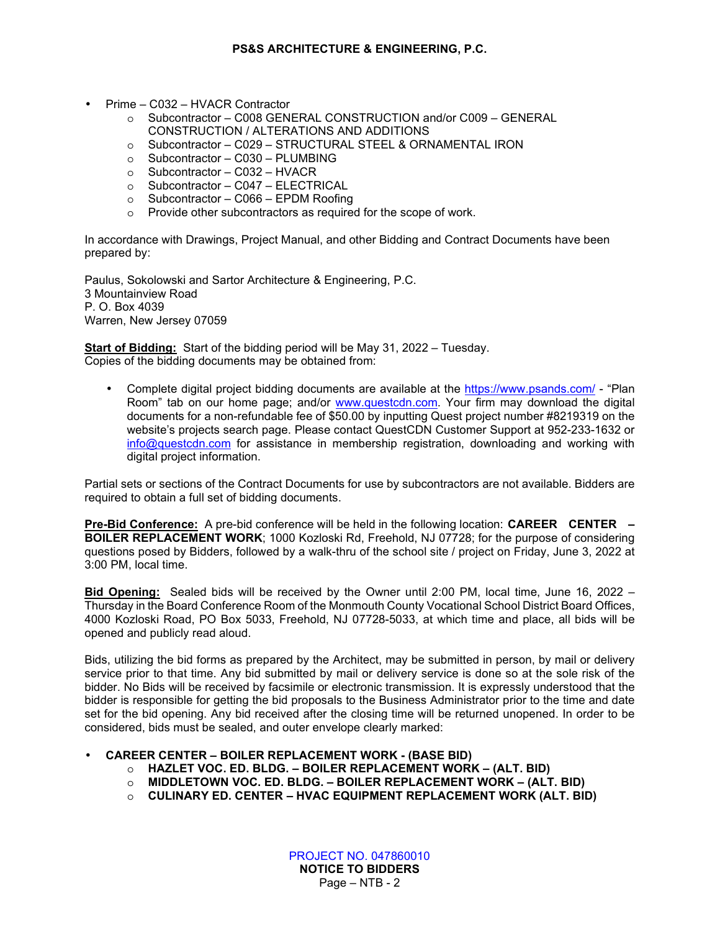- Prime C032 HVACR Contractor
	- o Subcontractor C008 GENERAL CONSTRUCTION and/or C009 GENERAL CONSTRUCTION / ALTERATIONS AND ADDITIONS
	- o Subcontractor C029 STRUCTURAL STEEL & ORNAMENTAL IRON
	- o Subcontractor C030 PLUMBING
	- o Subcontractor C032 HVACR
	- o Subcontractor C047 ELECTRICAL
	- o Subcontractor C066 EPDM Roofing
	- o Provide other subcontractors as required for the scope of work.

In accordance with Drawings, Project Manual, and other Bidding and Contract Documents have been prepared by:

Paulus, Sokolowski and Sartor Architecture & Engineering, P.C. 3 Mountainview Road P. O. Box 4039 Warren, New Jersey 07059

**Start of Bidding:** Start of the bidding period will be May 31, 2022 – Tuesday. Copies of the bidding documents may be obtained from:

• Complete digital project bidding documents are available at the https://www.psands.com/ - "Plan Room" tab on our home page; and/or www.questcdn.com. Your firm may download the digital documents for a non-refundable fee of \$50.00 by inputting Quest project number #8219319 on the website's projects search page. Please contact QuestCDN Customer Support at 952-233-1632 or info@questcdn.com for assistance in membership registration, downloading and working with digital project information.

Partial sets or sections of the Contract Documents for use by subcontractors are not available. Bidders are required to obtain a full set of bidding documents.

**Pre-Bid Conference:** A pre-bid conference will be held in the following location: **CAREER CENTER – BOILER REPLACEMENT WORK**; 1000 Kozloski Rd, Freehold, NJ 07728; for the purpose of considering questions posed by Bidders, followed by a walk-thru of the school site / project on Friday, June 3, 2022 at 3:00 PM, local time.

**Bid Opening:** Sealed bids will be received by the Owner until 2:00 PM, local time, June 16, 2022 – Thursday in the Board Conference Room of the Monmouth County Vocational School District Board Offices, 4000 Kozloski Road, PO Box 5033, Freehold, NJ 07728-5033, at which time and place, all bids will be opened and publicly read aloud.

Bids, utilizing the bid forms as prepared by the Architect, may be submitted in person, by mail or delivery service prior to that time. Any bid submitted by mail or delivery service is done so at the sole risk of the bidder. No Bids will be received by facsimile or electronic transmission. It is expressly understood that the bidder is responsible for getting the bid proposals to the Business Administrator prior to the time and date set for the bid opening. Any bid received after the closing time will be returned unopened. In order to be considered, bids must be sealed, and outer envelope clearly marked:

## • **CAREER CENTER – BOILER REPLACEMENT WORK - (BASE BID)**

- o **HAZLET VOC. ED. BLDG. BOILER REPLACEMENT WORK (ALT. BID)**
- o **MIDDLETOWN VOC. ED. BLDG. BOILER REPLACEMENT WORK (ALT. BID)**
- o **CULINARY ED. CENTER HVAC EQUIPMENT REPLACEMENT WORK (ALT. BID)**

PROJECT NO. 047860010 **NOTICE TO BIDDERS**  Page – NTB - 2